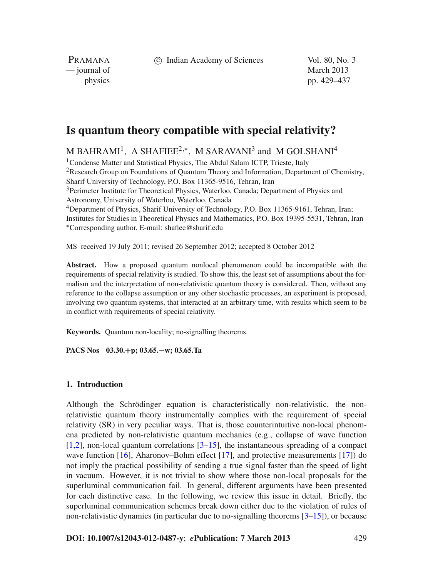c Indian Academy of Sciences Vol. 80, No. 3

PRAMANA — journal of March 2013

physics pp. 429–437

# **Is quantum theory compatible with special relativity?**

M BAHRAMI<sup>1</sup>, A SHAFIEE<sup>2,\*</sup>, M SARAVANI<sup>3</sup> and M GOLSHANI<sup>4</sup>

<sup>1</sup> Condense Matter and Statistical Physics, The Abdul Salam ICTP, Trieste, Italy <sup>2</sup>Research Group on Foundations of Quantum Theory and Information, Department of Chemistry, Sharif University of Technology, P.O. Box 11365-9516, Tehran, Iran <sup>3</sup>Perimeter Institute for Theoretical Physics, Waterloo, Canada; Department of Physics and Astronomy, University of Waterloo, Waterloo, Canada 4Department of Physics, Sharif University of Technology, P.O. Box 11365-9161, Tehran, Iran; Institutes for Studies in Theoretical Physics and Mathematics, P.O. Box 19395-5531, Tehran, Iran <sup>∗</sup>Corresponding author. E-mail: shafiee@sharif.edu

MS received 19 July 2011; revised 26 September 2012; accepted 8 October 2012

**Abstract.** How a proposed quantum nonlocal phenomenon could be incompatible with the requirements of special relativity is studied. To show this, the least set of assumptions about the formalism and the interpretation of non-relativistic quantum theory is considered. Then, without any reference to the collapse assumption or any other stochastic processes, an experiment is proposed, involving two quantum systems, that interacted at an arbitrary time, with results which seem to be in conflict with requirements of special relativity.

**Keywords.** Quantum non-locality; no-signalling theorems.

**PACS Nos 03.30.+p; 03.65.−w; 03.65.Ta**

## <span id="page-0-0"></span>**1. Introduction**

Although the Schrödinger equation is characteristically non-relativistic, the nonrelativistic quantum theory instrumentally complies with the requirement of special relativity (SR) in very peculiar ways. That is, those counterintuitive non-local phenomena predicted by non-relativistic quantum mechanics (e.g., collapse of wave function  $[1,2]$  $[1,2]$ , non-local quantum correlations  $[3-15]$  $[3-15]$ , the instantaneous spreading of a compact wave function  $[16]$  $[16]$ , Aharonov–Bohm effect  $[17]$ , and protective measurements  $[17]$ ) do not imply the practical possibility of sending a true signal faster than the speed of light in vacuum. However, it is not trivial to show where those non-local proposals for the superluminal communication fail. In general, different arguments have been presented for each distinctive case. In the following, we review this issue in detail. Briefly, the superluminal communication schemes break down either due to the violation of rules of non-relativistic dynamics (in particular due to no-signalling theorems [\[3](#page-8-2)[–15\]](#page-8-3)), or because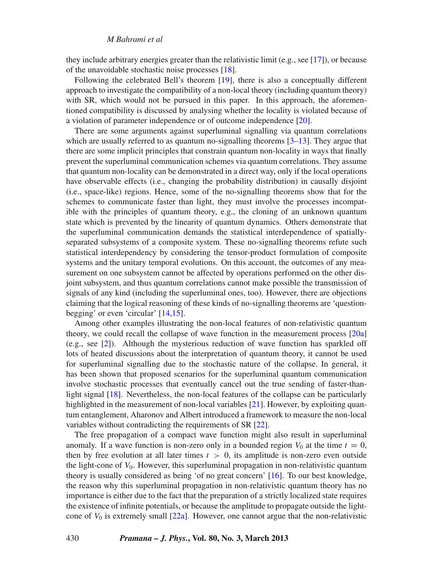### *M Bahrami et al*

they include arbitrary energies greater than the relativistic limit (e.g., see [\[17\]](#page-8-5)), or because of the unavoidable stochastic noise processes [\[18](#page-8-6)].

Following the celebrated Bell's theorem [\[19](#page-8-7)], there is also a conceptually different approach to investigate the compatibility of a non-local theory (including quantum theory) with SR, which would not be pursued in this paper. In this approach, the aforementioned compatibility is discussed by analysing whether the locality is violated because of a violation of parameter independence or of outcome independence [\[20](#page-8-8)].

There are some arguments against superluminal signalling via quantum correlations which are usually referred to as quantum no-signalling theorems [\[3](#page-8-2)[–13](#page-8-9)]. They argue that there are some implicit principles that constrain quantum non-locality in ways that finally prevent the superluminal communication schemes via quantum correlations. They assume that quantum non-locality can be demonstrated in a direct way, only if the local operations have observable effects (i.e., changing the probability distribution) in causally disjoint (i.e., space-like) regions. Hence, some of the no-signalling theorems show that for the schemes to communicate faster than light, they must involve the processes incompatible with the principles of quantum theory, e.g., the cloning of an unknown quantum state which is prevented by the linearity of quantum dynamics. Others demonstrate that the superluminal communication demands the statistical interdependence of spatiallyseparated subsystems of a composite system. These no-signalling theorems refute such statistical interdependency by considering the tensor-product formulation of composite systems and the unitary temporal evolutions. On this account, the outcomes of any measurement on one subsystem cannot be affected by operations performed on the other disjoint subsystem, and thus quantum correlations cannot make possible the transmission of signals of any kind (including the superluminal ones, too). However, there are objections claiming that the logical reasoning of these kinds of no-signalling theorems are 'questionbegging' or even 'circular' [\[14](#page-8-10)[,15\]](#page-8-3).

Among other examples illustrating the non-local features of non-relativistic quantum theory, we could recall the collapse of wave function in the measurement process [\[20a\]](#page-8-11) (e.g., see [\[2\]](#page-8-1)). Although the mysterious reduction of wave function has sparkled off lots of heated discussions about the interpretation of quantum theory, it cannot be used for superluminal signalling due to the stochastic nature of the collapse. In general, it has been shown that proposed scenarios for the superluminal quantum communication involve stochastic processes that eventually cancel out the true sending of faster-thanlight signal [\[18](#page-8-6)]. Nevertheless, the non-local features of the collapse can be particularly highlighted in the measurement of non-local variables [\[21\]](#page-8-12). However, by exploiting quantum entanglement, Aharonov and Albert introduced a framework to measure the non-local variables without contradicting the requirements of SR [\[22](#page-8-13)].

The free propagation of a compact wave function might also result in superluminal anomaly. If a wave function is non-zero only in a bounded region  $V_0$  at the time  $t = 0$ , then by free evolution at all later times  $t > 0$ , its amplitude is non-zero even outside the light-cone of  $V_0$ . However, this superluminal propagation in non-relativistic quantum theory is usually considered as being 'of no great concern' [\[16](#page-8-4)]. To our best knowledge, the reason why this superluminal propagation in non-relativistic quantum theory has no importance is either due to the fact that the preparation of a strictly localized state requires the existence of infinite potentials, or because the amplitude to propagate outside the lightcone of  $V_0$  is extremely small  $[22a]$ . However, one cannot argue that the non-relativistic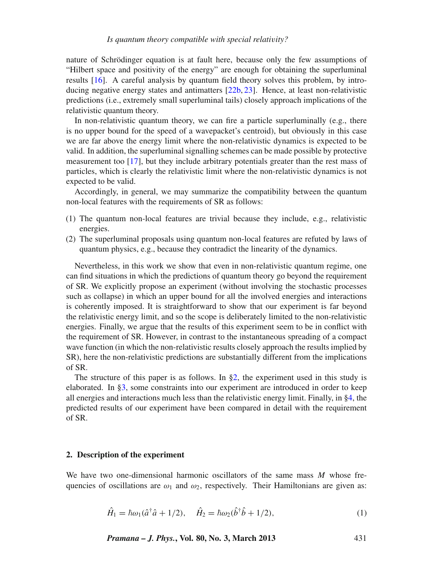nature of Schrödinger equation is at fault here, because only the few assumptions of "Hilbert space and positivity of the energy" are enough for obtaining the superluminal results [\[16\]](#page-8-4). A careful analysis by quantum field theory solves this problem, by introducing negative energy states and antimatters [\[22b,](#page-8-15) [23\]](#page-8-16). Hence, at least non-relativistic predictions (i.e., extremely small superluminal tails) closely approach implications of the relativistic quantum theory.

In non-relativistic quantum theory, we can fire a particle superluminally (e.g., there is no upper bound for the speed of a wavepacket's centroid), but obviously in this case we are far above the energy limit where the non-relativistic dynamics is expected to be valid. In addition, the superluminal signalling schemes can be made possible by protective measurement too [\[17\]](#page-8-5), but they include arbitrary potentials greater than the rest mass of particles, which is clearly the relativistic limit where the non-relativistic dynamics is not expected to be valid.

Accordingly, in general, we may summarize the compatibility between the quantum non-local features with the requirements of SR as follows:

- (1) The quantum non-local features are trivial because they include, e.g., relativistic energies.
- (2) The superluminal proposals using quantum non-local features are refuted by laws of quantum physics, e.g., because they contradict the linearity of the dynamics.

Nevertheless, in this work we show that even in non-relativistic quantum regime, one can find situations in which the predictions of quantum theory go beyond the requirement of SR. We explicitly propose an experiment (without involving the stochastic processes such as collapse) in which an upper bound for all the involved energies and interactions is coherently imposed. It is straightforward to show that our experiment is far beyond the relativistic energy limit, and so the scope is deliberately limited to the non-relativistic energies. Finally, we argue that the results of this experiment seem to be in conflict with the requirement of SR. However, in contrast to the instantaneous spreading of a compact wave function (in which the non-relativistic results closely approach the results implied by SR), here the non-relativistic predictions are substantially different from the implications of SR.

The structure of this paper is as follows. In [§2,](#page-2-0) the experiment used in this study is elaborated. In [§3,](#page-4-0) some constraints into our experiment are introduced in order to keep all energies and interactions much less than the relativistic energy limit. Finally, in  $\S4$ , the predicted results of our experiment have been compared in detail with the requirement of SR.

#### <span id="page-2-0"></span>**2. Description of the experiment**

We have two one-dimensional harmonic oscillators of the same mass *M* whose frequencies of oscillations are  $\omega_1$  and  $\omega_2$ , respectively. Their Hamiltonians are given as:

$$
\hat{H}_1 = \hbar \omega_1 (\hat{a}^\dagger \hat{a} + 1/2), \quad \hat{H}_2 = \hbar \omega_2 (\hat{b}^\dagger \hat{b} + 1/2), \tag{1}
$$

*Pramana – J. Phys.***, Vol. 80, No. 3, March 2013** 431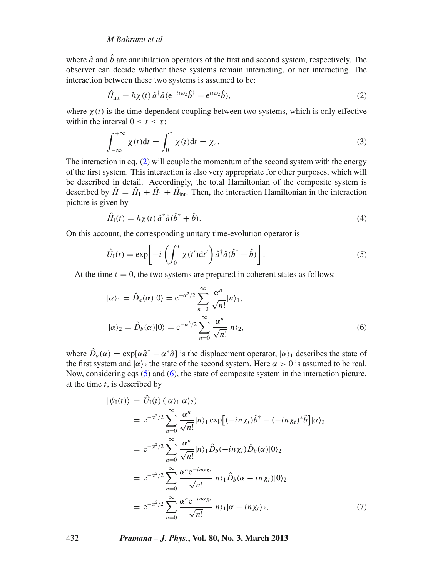# *M Bahrami et al*

where  $\hat{a}$  and  $\hat{b}$  are annihilation operators of the first and second system, respectively. The observer can decide whether these systems remain interacting, or not interacting. The interaction between these two systems is assumed to be:

<span id="page-3-0"></span>
$$
\hat{H}_{\text{int}} = \hbar \chi(t) \,\hat{a}^{\dagger} \hat{a} (e^{-it\omega_2} \hat{b}^{\dagger} + e^{it\omega_2} \hat{b}),\tag{2}
$$

where  $\chi(t)$  is the time-dependent coupling between two systems, which is only effective within the interval  $0 \le t \le \tau$ :

$$
\int_{-\infty}^{+\infty} \chi(t)dt = \int_0^{\tau} \chi(t)dt = \chi_{\tau}.
$$
 (3)

The interaction in eq.  $(2)$  will couple the momentum of the second system with the energy of the first system. This interaction is also very appropriate for other purposes, which will be described in detail. Accordingly, the total Hamiltonian of the composite system is described by  $\hat{H} = \hat{H}_1 + \hat{H}_1 + \hat{H}_{int}$ . Then, the interaction Hamiltonian in the interaction picture is given by

<span id="page-3-1"></span>
$$
\hat{H}_{\rm I}(t) = \hbar \chi(t) \,\hat{a}^{\dagger} \hat{a} (\hat{b}^{\dagger} + \hat{b}).\tag{4}
$$

On this account, the corresponding unitary time-evolution operator is

$$
\hat{U}_{I}(t) = \exp\bigg[-i\left(\int_{0}^{t} \chi(t')dt'\right)\hat{a}^{\dagger}\hat{a}(\hat{b}^{\dagger} + \hat{b})\bigg].
$$
\n(5)

At the time  $t = 0$ , the two systems are prepared in coherent states as follows:

<span id="page-3-2"></span>
$$
|\alpha\rangle_1 = \hat{D}_a(\alpha)|0\rangle = e^{-\alpha^2/2} \sum_{n=0}^{\infty} \frac{\alpha^n}{\sqrt{n!}} |n\rangle_1,
$$
  

$$
|\alpha\rangle_2 = \hat{D}_b(\alpha)|0\rangle = e^{-\alpha^2/2} \sum_{n=0}^{\infty} \frac{\alpha^n}{\sqrt{n!}} |n\rangle_2,
$$
 (6)

where  $\hat{D}_a(\alpha) = \exp[\alpha \hat{a}^\dagger - \alpha^* \hat{a}]$  is the displacement operator,  $|\alpha\rangle_1$  describes the state of the first system and  $|\alpha\rangle$  the state of the second system. Here  $\alpha > 0$  is assumed to be real. Now, considering eqs [\(5\)](#page-3-1) and [\(6\)](#page-3-2), the state of composite system in the interaction picture, at the time *t*, is described by

<span id="page-3-3"></span>
$$
\begin{split}\n|\psi_{\rm I}(t)\rangle &= \hat{U}_{\rm I}(t) \, (|\alpha\rangle_{1}|\alpha\rangle_{2}) \\
&= e^{-\alpha^{2}/2} \sum_{n=0}^{\infty} \frac{\alpha^{n}}{\sqrt{n!}} |n\rangle_{1} \exp\left[(-in\chi_{t})\hat{b}^{\dagger} - (-in\chi_{t})^{*}\hat{b}\right] |\alpha\rangle_{2} \\
&= e^{-\alpha^{2}/2} \sum_{n=0}^{\infty} \frac{\alpha^{n}}{\sqrt{n!}} |n\rangle_{1} \hat{D}_{b}(-in\chi_{t}) \hat{D}_{b}(\alpha)|0\rangle_{2} \\
&= e^{-\alpha^{2}/2} \sum_{n=0}^{\infty} \frac{\alpha^{n} e^{-in\alpha\chi_{t}}}{\sqrt{n!}} |n\rangle_{1} \hat{D}_{b}(\alpha - in\chi_{t})|0\rangle_{2} \\
&= e^{-\alpha^{2}/2} \sum_{n=0}^{\infty} \frac{\alpha^{n} e^{-in\alpha\chi_{t}}}{\sqrt{n!}} |n\rangle_{1}|\alpha - in\chi_{t}\rangle_{2},\n\end{split} \tag{7}
$$

432 *Pramana – J. Phys.***, Vol. 80, No. 3, March 2013**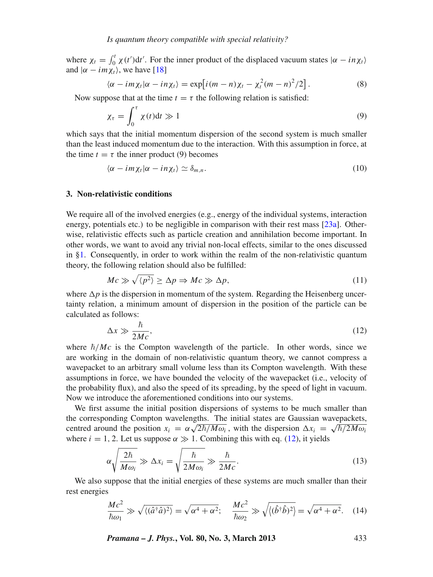where  $\chi_t = \int_0^t \chi(t') dt'$ . For the inner product of the displaced vacuum states  $|\alpha - in\chi_t\rangle$ and  $|\alpha - im\chi_t\rangle$ , we have [\[18](#page-8-6)]

<span id="page-4-2"></span>
$$
\langle \alpha - i m \chi_t | \alpha - i n \chi_t \rangle = \exp \left[ i (m - n) \chi_t - \chi_t^2 (m - n)^2 / 2 \right]. \tag{8}
$$

Now suppose that at the time  $t = \tau$  the following relation is satisfied:

<span id="page-4-4"></span>
$$
\chi_{\tau} = \int_0^{\tau} \chi(t) dt \gg 1 \tag{9}
$$

which says that the initial momentum dispersion of the second system is much smaller than the least induced momentum due to the interaction. With this assumption in force, at the time  $t = \tau$  the inner product (9) becomes

<span id="page-4-3"></span>
$$
\langle \alpha - i m \chi_t | \alpha - i n \chi_t \rangle \simeq \delta_{m,n}.\tag{10}
$$

#### <span id="page-4-0"></span>**3. Non-relativistic conditions**

We require all of the involved energies (e.g., energy of the individual systems, interaction energy, potentials etc.) to be negligible in comparison with their rest mass [\[23a\]](#page-8-17). Otherwise, relativistic effects such as particle creation and annihilation become important. In other words, we want to avoid any trivial non-local effects, similar to the ones discussed in [§1.](#page-0-0) Consequently, in order to work within the realm of the non-relativistic quantum theory, the following relation should also be fulfilled:

$$
Mc \gg \sqrt{\langle p^2 \rangle} \ge \Delta p \Rightarrow Mc \gg \Delta p,\tag{11}
$$

where  $\Delta p$  is the dispersion in momentum of the system. Regarding the Heisenberg uncertainty relation, a minimum amount of dispersion in the position of the particle can be calculated as follows:

<span id="page-4-1"></span>
$$
\Delta x \gg \frac{\hbar}{2Mc},\tag{12}
$$

where  $\hbar/Mc$  is the Compton wavelength of the particle. In other words, since we are working in the domain of non-relativistic quantum theory, we cannot compress a wavepacket to an arbitrary small volume less than its Compton wavelength. With these assumptions in force, we have bounded the velocity of the wavepacket (i.e., velocity of the probability flux), and also the speed of its spreading, by the speed of light in vacuum. Now we introduce the aforementioned conditions into our systems.

We first assume the initial position dispersions of systems to be much smaller than the corresponding Compton wavelengths. The initial states are Gaussian wavepackets, centred around the position  $x_i = \alpha \sqrt{2\hbar / M \omega_i}$ , with the dispersion  $\Delta x_i = \sqrt{\hbar / 2M \omega_i}$ where  $i = 1, 2$ . Let us suppose  $\alpha \gg 1$ . Combining this with eq. [\(12\)](#page-4-1), it yields

<span id="page-4-5"></span>
$$
\alpha \sqrt{\frac{2\hbar}{M\omega_i}} \gg \Delta x_i = \sqrt{\frac{\hbar}{2M\omega_i}} \gg \frac{\hbar}{2Mc}.
$$
\n(13)

We also suppose that the initial energies of these systems are much smaller than their rest energies

$$
\frac{Mc^2}{\hbar \omega_1} \gg \sqrt{\langle (\hat{a}^\dagger \hat{a})^2 \rangle} = \sqrt{\alpha^4 + \alpha^2}; \quad \frac{Mc^2}{\hbar \omega_2} \gg \sqrt{\langle (\hat{b}^\dagger \hat{b})^2 \rangle} = \sqrt{\alpha^4 + \alpha^2}. \quad (14)
$$

*Pramana – J. Phys.***, Vol. 80, No. 3, March 2013** 433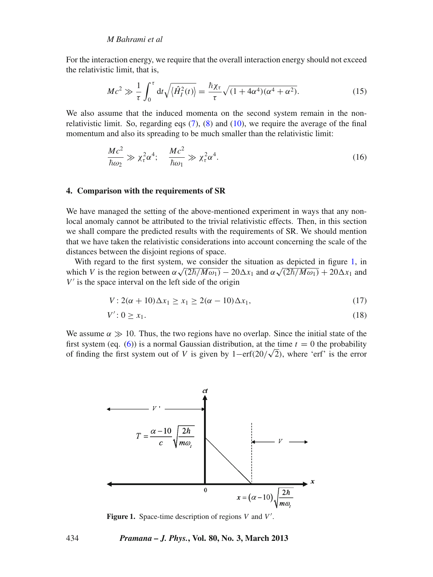For the interaction energy, we require that the overall interaction energy should not exceed the relativistic limit, that is,

<span id="page-5-2"></span>
$$
Mc^2 \gg \frac{1}{\tau} \int_0^{\tau} dt \sqrt{\langle \hat{H}_I^2(t) \rangle} = \frac{\hbar \chi_{\tau}}{\tau} \sqrt{(1 + 4\alpha^4)(\alpha^4 + \alpha^2)}.
$$
 (15)

We also assume that the induced momenta on the second system remain in the nonrelativistic limit. So, regarding eqs  $(7)$ ,  $(8)$  and  $(10)$ , we require the average of the final momentum and also its spreading to be much smaller than the relativistic limit:

<span id="page-5-3"></span>
$$
\frac{Mc^2}{\hbar\omega_2} \gg \chi_\tau^2 \alpha^4; \quad \frac{Mc^2}{\hbar\omega_1} \gg \chi_\tau^2 \alpha^4. \tag{16}
$$

#### <span id="page-5-0"></span>**4. Comparison with the requirements of SR**

We have managed the setting of the above-mentioned experiment in ways that any nonlocal anomaly cannot be attributed to the trivial relativistic effects. Then, in this section we shall compare the predicted results with the requirements of SR. We should mention that we have taken the relativistic considerations into account concerning the scale of the distances between the disjoint regions of space.

With regard to the first system, we consider the situation as depicted in figure [1,](#page-5-1) in which *V* is the region between  $\alpha \sqrt{(2\hbar/M\omega_1)} - 20\Delta x_1$  and  $\alpha \sqrt{(2\hbar/M\omega_1)} + 20\Delta x_1$  and  $V'$  is the space interval on the left side of the origin

$$
V: 2(\alpha + 10)\Delta x_1 \ge x_1 \ge 2(\alpha - 10)\Delta x_1,\tag{17}
$$

$$
V': 0 \ge x_1. \tag{18}
$$

We assume  $\alpha \gg 10$ . Thus, the two regions have no overlap. Since the initial state of the first system (eq.  $(6)$ ) is a normal Gaussian distribution, at the time  $t = 0$  the probability first system (eq. (o)) is a normal Gaussian distribution, at the time  $t = 0$  the probability of finding the first system out of *V* is given by  $1 - erf(20/\sqrt{2})$ , where 'erf' is the error

<span id="page-5-1"></span>

**Figure 1.** Space-time description of regions *V* and *V* .

434 *Pramana – J. Phys.***, Vol. 80, No. 3, March 2013**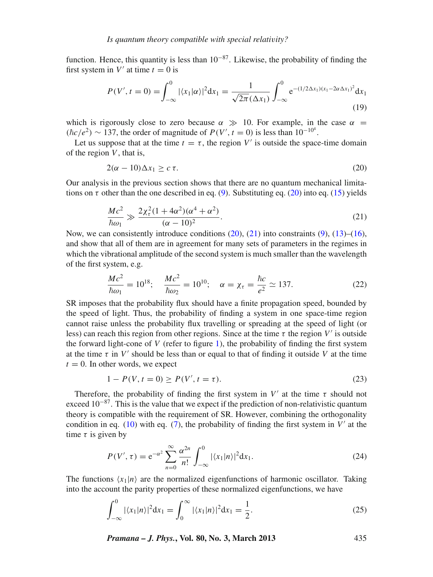function. Hence, this quantity is less than  $10^{-87}$ . Likewise, the probability of finding the first system in  $V'$  at time  $t = 0$  is

$$
P(V', t = 0) = \int_{-\infty}^{0} |\langle x_1 | \alpha \rangle|^2 dx_1 = \frac{1}{\sqrt{2\pi} (\Delta x_1)} \int_{-\infty}^{0} e^{-(1/2\Delta x_1)(x_1 - 2\alpha \Delta x_1)^2} dx_1
$$
\n(19)

which is rigorously close to zero because  $\alpha \gg 10$ . For example, in the case  $\alpha =$  $(\hbar c/e^2) \sim 137$ , the order of magnitude of  $P(V', t = 0)$  is less than  $10^{-10^4}$ .

Let us suppose that at the time  $t = \tau$ , the region V' is outside the space-time domain of the region *V*, that is,

<span id="page-6-0"></span>
$$
2(\alpha - 10)\Delta x_1 \geq c\,\tau. \tag{20}
$$

<span id="page-6-1"></span>Our analysis in the previous section shows that there are no quantum mechanical limitations on  $\tau$  other than the one described in eq. [\(9\)](#page-4-4). Substituting eq. [\(20\)](#page-6-0) into eq. [\(15\)](#page-5-2) yields

$$
\frac{Mc^2}{\hbar \omega_1} \gg \frac{2\chi_\tau^2 (1 + 4\alpha^2)(\alpha^4 + \alpha^2)}{(\alpha - 10)^2}.
$$
\n(21)

Now, we can consistently introduce conditions  $(20)$ ,  $(21)$  into constraints  $(9)$ ,  $(13)$ – $(16)$ , and show that all of them are in agreement for many sets of parameters in the regimes in which the vibrational amplitude of the second system is much smaller than the wavelength of the first system, e.g.

$$
\frac{Mc^2}{\hbar \omega_1} = 10^{18}; \quad \frac{Mc^2}{\hbar \omega_2} = 10^{10}; \quad \alpha = \chi_\tau = \frac{\hbar c}{e^2} \simeq 137. \tag{22}
$$

SR imposes that the probability flux should have a finite propagation speed, bounded by the speed of light. Thus, the probability of finding a system in one space-time region cannot raise unless the probability flux travelling or spreading at the speed of light (or less) can reach this region from other regions. Since at the time  $\tau$  the region *V'* is outside the forward light-cone of  $V$  (refer to figure [1\)](#page-5-1), the probability of finding the first system at the time  $\tau$  in V' should be less than or equal to that of finding it outside V at the time  $t = 0$ . In other words, we expect

$$
1 - P(V, t = 0) \ge P(V', t = \tau). \tag{23}
$$

Therefore, the probability of finding the first system in  $V'$  at the time  $\tau$  should not exceed  $10^{-87}$ . This is the value that we expect if the prediction of non-relativistic quantum theory is compatible with the requirement of SR. However, combining the orthogonality condition in eq. [\(10\)](#page-4-3) with eq. [\(7\)](#page-3-3), the probability of finding the first system in  $V'$  at the time  $\tau$  is given by

<span id="page-6-3"></span>
$$
P(V', \tau) = e^{-\alpha^2} \sum_{n=0}^{\infty} \frac{\alpha^{2n}}{n!} \int_{-\infty}^{0} |\langle x_1 | n \rangle|^2 dx_1.
$$
 (24)

The functions  $\langle x_1 | n \rangle$  are the normalized eigenfunctions of harmonic oscillator. Taking into the account the parity properties of these normalized eigenfunctions, we have

<span id="page-6-2"></span>
$$
\int_{-\infty}^{0} |\langle x_1 | n \rangle|^2 dx_1 = \int_{0}^{\infty} |\langle x_1 | n \rangle|^2 dx_1 = \frac{1}{2}.
$$
 (25)

*Pramana – J. Phys.***, Vol. 80, No. 3, March 2013** 435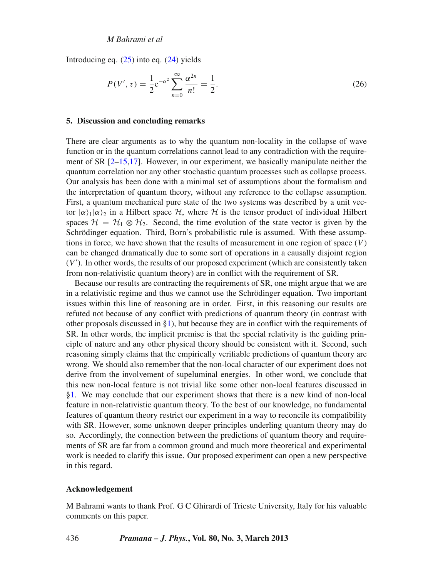Introducing eq.  $(25)$  into eq.  $(24)$  yields

$$
P(V', \tau) = \frac{1}{2} e^{-\alpha^2} \sum_{n=0}^{\infty} \frac{\alpha^{2n}}{n!} = \frac{1}{2}.
$$
 (26)

#### **5. Discussion and concluding remarks**

There are clear arguments as to why the quantum non-locality in the collapse of wave function or in the quantum correlations cannot lead to any contradiction with the requirement of SR [\[2](#page-8-1)[–15](#page-8-3)[,17](#page-8-5)]. However, in our experiment, we basically manipulate neither the quantum correlation nor any other stochastic quantum processes such as collapse process. Our analysis has been done with a minimal set of assumptions about the formalism and the interpretation of quantum theory, without any reference to the collapse assumption. First, a quantum mechanical pure state of the two systems was described by a unit vector  $|\alpha\rangle_1|\alpha\rangle_2$  in a Hilbert space H, where H is the tensor product of individual Hilbert spaces  $H = H_1 \otimes H_2$ . Second, the time evolution of the state vector is given by the Schrödinger equation. Third, Born's probabilistic rule is assumed. With these assumptions in force, we have shown that the results of measurement in one region of space (*V*) can be changed dramatically due to some sort of operations in a causally disjoint region (*V* ). In other words, the results of our proposed experiment (which are consistently taken from non-relativistic quantum theory) are in conflict with the requirement of SR.

Because our results are contracting the requirements of SR, one might argue that we are in a relativistic regime and thus we cannot use the Schrödinger equation. Two important issues within this line of reasoning are in order. First, in this reasoning our results are refuted not because of any conflict with predictions of quantum theory (in contrast with other proposals discussed in [§1\)](#page-0-0), but because they are in conflict with the requirements of SR. In other words, the implicit premise is that the special relativity is the guiding principle of nature and any other physical theory should be consistent with it. Second, such reasoning simply claims that the empirically verifiable predictions of quantum theory are wrong. We should also remember that the non-local character of our experiment does not derive from the involvement of supeluminal energies. In other word, we conclude that this new non-local feature is not trivial like some other non-local features discussed in [§1.](#page-0-0) We may conclude that our experiment shows that there is a new kind of non-local feature in non-relativistic quantum theory. To the best of our knowledge, no fundamental features of quantum theory restrict our experiment in a way to reconcile its compatibility with SR. However, some unknown deeper principles underling quantum theory may do so. Accordingly, the connection between the predictions of quantum theory and requirements of SR are far from a common ground and much more theoretical and experimental work is needed to clarify this issue. Our proposed experiment can open a new perspective in this regard.

## **Acknowledgement**

M Bahrami wants to thank Prof. G C Ghirardi of Trieste University, Italy for his valuable comments on this paper.